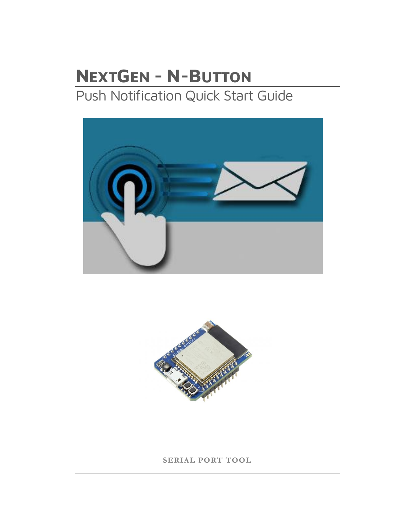# **NEXTGEN - N-BUTTON** Push Notification Quick Start Guide





**SERIAL PORT TOOL**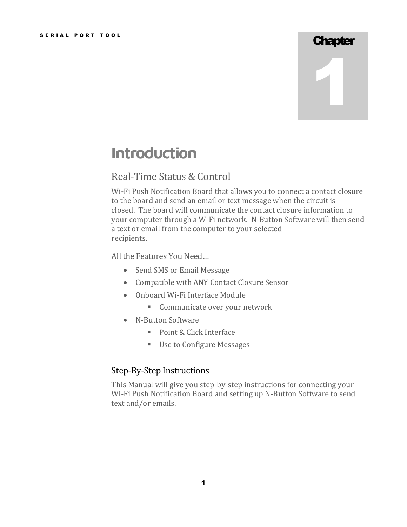### **Chapter**

1

# **Introduction**

### Real-Time Status & Control

Wi-Fi Push Notification Board that allows you to connect a contact closure to the board and send an email or text message when the circuit is closed. The board will communicate the contact closure information to your computer through a W-Fi network. N-Button Software will then send a text or email from the computer to your selected recipients.

All the Features You Need…

- Send SMS or Email Message
- Compatible with ANY Contact Closure Sensor
- Onboard Wi-Fi Interface Module
	- **EXECOMMUNICATE OVER YOUR NETWORK**
- N-Button Software
	- Point & Click Interface
	- Use to Configure Messages

### Step-By-Step Instructions

This Manual will give you step-by-step instructions for connecting your Wi-Fi Push Notification Board and setting up N-Button Software to send text and/or emails.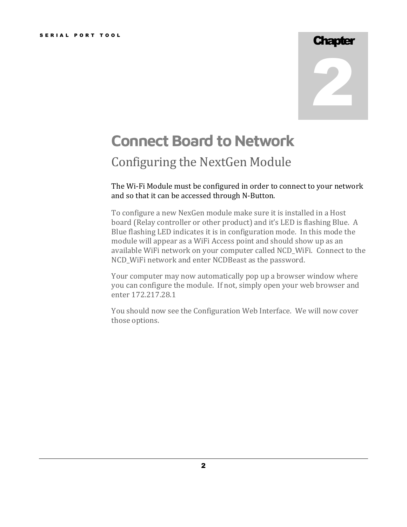### **Chapter**

2

# **Connect Board to Network**

### Configuring the NextGen Module

The Wi-Fi Module must be configured in order to connect to your network and so that it can be accessed through N-Button.

To configure a new NexGen module make sure it is installed in a Host board (Relay controller or other product) and it's LED is flashing Blue. A Blue flashing LED indicates it is in configuration mode. In this mode the module will appear as a WiFi Access point and should show up as an available WiFi network on your computer called NCD\_WiFi. Connect to the NCD\_WiFi network and enter NCDBeast as the password.

Your computer may now automatically pop up a browser window where you can configure the module. If not, simply open your web browser and enter 172.217.28.1

You should now see the Configuration Web Interface. We will now cover those options.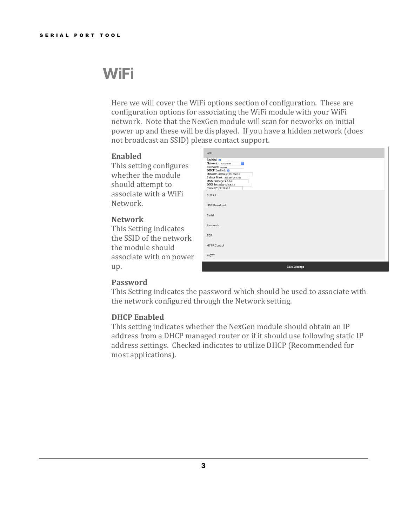## **WiFi**

Here we will cover the WiFi options section of configuration. These are configuration options for associating the WiFi module with your WiFi network. Note that the NexGen module will scan for networks on initial power up and these will be displayed. If you have a hidden network (does not broadcast an SSID) please contact support.

#### **Enabled**

This setting configures whether the module should attempt to associate with a WiFi Network.

#### **Network**

This Setting indicates the SSID of the network the module should associate with on power up.

| WiFi                                                                                                                                                                                                     |                      |  |
|----------------------------------------------------------------------------------------------------------------------------------------------------------------------------------------------------------|----------------------|--|
| Enabled: 0<br>Network: Travis-WiFi<br>$\ddot{\bullet}$<br>Password:<br>DHCP Enabled: 0<br>Default Gateway: 192.168.1.1<br>Subnet Mask: 255.255.255.255<br>DNS Primary: 8.8.8.8<br>DNS Secondary: 8.8.4.4 |                      |  |
| Static IP: 192.168.1.2                                                                                                                                                                                   |                      |  |
| Soft AP                                                                                                                                                                                                  |                      |  |
| <b>UDP Broadcast</b>                                                                                                                                                                                     |                      |  |
| Serial                                                                                                                                                                                                   |                      |  |
| Bluetooth                                                                                                                                                                                                |                      |  |
| <b>TCP</b>                                                                                                                                                                                               |                      |  |
| <b>HTTP Control</b>                                                                                                                                                                                      |                      |  |
| MQTT                                                                                                                                                                                                     |                      |  |
|                                                                                                                                                                                                          | <b>Save Settings</b> |  |

#### **Password**

This Setting indicates the password which should be used to associate with the network configured through the Network setting.

#### **DHCP Enabled**

This setting indicates whether the NexGen module should obtain an IP address from a DHCP managed router or if it should use following static IP address settings. Checked indicates to utilize DHCP (Recommended for most applications).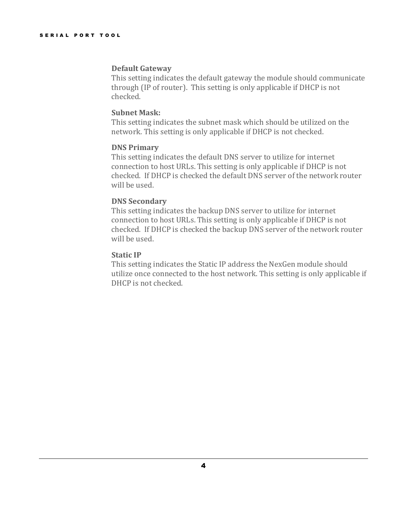#### **Default Gateway**

This setting indicates the default gateway the module should communicate through (IP of router). This setting is only applicable if DHCP is not checked.

#### **Subnet Mask:**

This setting indicates the subnet mask which should be utilized on the network. This setting is only applicable if DHCP is not checked.

#### **DNS Primary**

This setting indicates the default DNS server to utilize for internet connection to host URLs. This setting is only applicable if DHCP is not checked. If DHCP is checked the default DNS server of the network router will be used.

#### **DNS Secondary**

This setting indicates the backup DNS server to utilize for internet connection to host URLs. This setting is only applicable if DHCP is not checked. If DHCP is checked the backup DNS server of the network router will be used.

#### **Static IP**

This setting indicates the Static IP address the NexGen module should utilize once connected to the host network. This setting is only applicable if DHCP is not checked.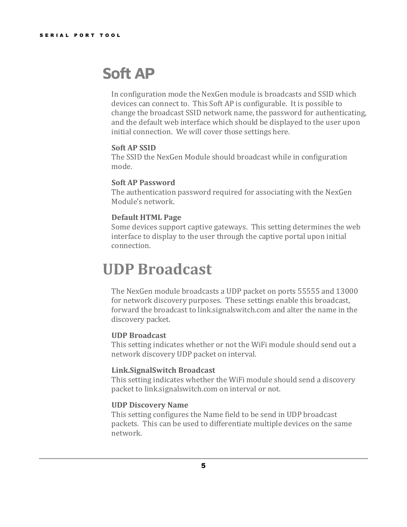## **Soft AP**

In configuration mode the NexGen module is broadcasts and SSID which devices can connect to. This Soft AP is configurable. It is possible to change the broadcast SSID network name, the password for authenticating, and the default web interface which should be displayed to the user upon initial connection. We will cover those settings here.

#### **Soft AP SSID**

The SSID the NexGen Module should broadcast while in configuration mode.

#### **Soft AP Password**

The authentication password required for associating with the NexGen Module's network.

#### **Default HTML Page**

Some devices support captive gateways. This setting determines the web interface to display to the user through the captive portal upon initial connection.

## **UDP Broadcast**

The NexGen module broadcasts a UDP packet on ports 55555 and 13000 for network discovery purposes. These settings enable this broadcast, forward the broadcast to link.signalswitch.com and alter the name in the discovery packet.

#### **UDP Broadcast**

This setting indicates whether or not the WiFi module should send out a network discovery UDP packet on interval.

#### **Link.SignalSwitch Broadcast**

This setting indicates whether the WiFi module should send a discovery packet to link.signalswitch.com on interval or not.

#### **UDP Discovery Name**

This setting configures the Name field to be send in UDP broadcast packets. This can be used to differentiate multiple devices on the same network.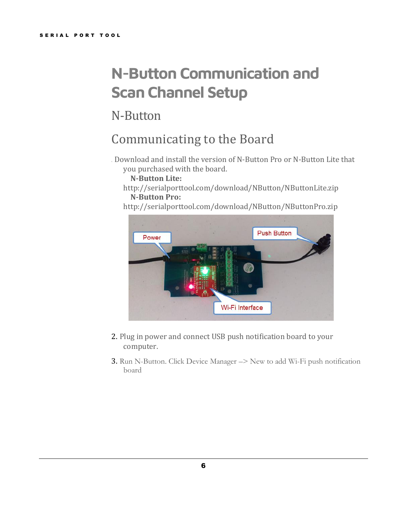# **N-Button Communication and Scan Channel Setup**

N-Button

## Communicating to the Board

1. Download and install the version of N-Button Pro or N-Button Lite that you purchased with the board.

#### **N-Button Lite:**

- http://serialporttool.com/download/NButton/NButtonLite.zip **N-Button Pro:**
- http://serialporttool.com/download/NButton/NButtonPro.zip



- 2. Plug in power and connect USB push notification board to your computer.
- 3. Run N-Button. Click Device Manager –> New to add Wi-Fi push notification board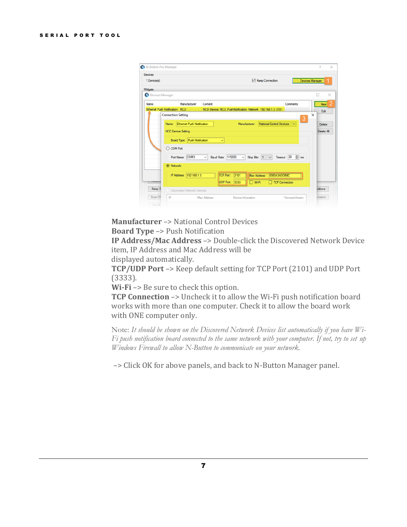| N-Button Pro Manager      |                               |                                        |                                |                                                            |                          |                       | $\overline{\phantom{a}}$ |
|---------------------------|-------------------------------|----------------------------------------|--------------------------------|------------------------------------------------------------|--------------------------|-----------------------|--------------------------|
| Devices<br>1 Device(s)    |                               |                                        |                                |                                                            | <b>⊠</b> Keep Connection |                       | <b>Devices Manager</b>   |
| Widgets                   |                               |                                        |                                |                                                            |                          |                       |                          |
| <b>Devices Manager</b>    |                               |                                        |                                |                                                            |                          |                       | ×                        |
| Name                      |                               | Manufacturer                           | Content                        |                                                            |                          | Comments              | New                      |
|                           | Ethemet Push Notification NCD |                                        |                                | NCD Device: NCD_PushNotification Network 192.168.1.3: 2101 |                          |                       | Edit                     |
|                           | <b>Connection Setting</b>     |                                        |                                |                                                            |                          | 3                     | ×                        |
|                           |                               | Name: <b>Ethemet Push Notification</b> |                                | Manufacturer:                                              | National Control Devices | $\checkmark$          | Delete                   |
|                           |                               |                                        |                                |                                                            |                          |                       | Delete All               |
|                           | <b>NCD Device Setting</b>     |                                        |                                |                                                            |                          |                       |                          |
|                           |                               | Board Type: Push Notification          | $\checkmark$                   |                                                            |                          |                       |                          |
|                           | ◯ COM Port                    |                                        |                                |                                                            |                          |                       |                          |
|                           |                               |                                        |                                |                                                            |                          |                       |                          |
|                           |                               | Port Name: COM3                        | <b>Baud Rate: 115200</b><br>v. | Stop Bits: 1<br>$\vee$                                     | $\checkmark$             | Timeout: $30 \div$ ms |                          |
|                           | <b>●</b> Network              |                                        |                                |                                                            |                          |                       |                          |
|                           |                               | IP Address: 192.168.1.3                | <b>TCP Port:</b>               | 2101<br>Mac Address:                                       | 0080A3ADDB0C             |                       |                          |
| <b><i>E WORKER NA</i></b> |                               |                                        |                                |                                                            |                          |                       |                          |
|                           |                               |                                        | <b>UDP Port: 3333</b>          | $\n  W-FI\n$                                               | TCP Connection           |                       |                          |
| <b>Relay S</b>            |                               | O Discovered Network Devices           |                                |                                                            |                          |                       | <b>idžions</b>           |
|                           |                               |                                        |                                |                                                            |                          |                       |                          |

### **Manufacturer** –> National Control Devices

**Board Type** –> Push Notification

**IP Address/Mac Address** –> Double-click the Discovered Network Device item, IP Address and Mac Address will be

displayed automatically.

**TCP/UDP Port** –> Keep default setting for TCP Port (2101) and UDP Port (3333).

**Wi-Fi** –> Be sure to check this option.

**TCP Connection** -> Uncheck it to allow the Wi-Fi push notification board works with more than one computer. Check it to allow the board work with ONE computer only.

Note: *It should be shown on the Discovered Network Devices list automatically if you have Wi-Fi push notification board connected to the same network with your computer. If not, try to set up Windows Firewall to allow N-Button to communicate on your network.*

–> Click OK for above panels, and back to N-Button Manager panel.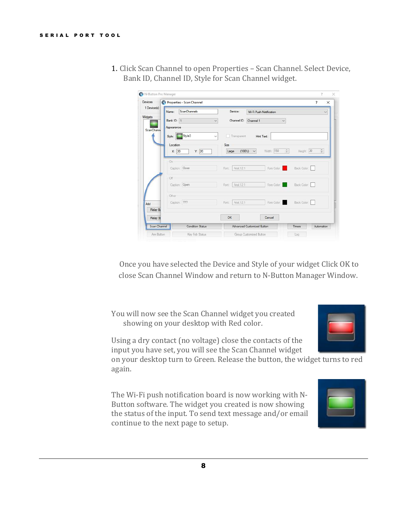| Devices           | Properties - Scan Channel     | 2                                                                                    |
|-------------------|-------------------------------|--------------------------------------------------------------------------------------|
| 1 Device(s)       | ScanChannels<br>Name:         | Device:<br>Wi-Fi Push Notification<br>$\checkmark$                                   |
| Widgets           | Bank ID: 1                    | Channel ID: Channel 1<br>$\checkmark$                                                |
| <b>ScanChanne</b> | Appearance                    |                                                                                      |
|                   | Style: Style3<br>$\checkmark$ | Transparent<br>Hint Text:                                                            |
|                   | Location                      | Size                                                                                 |
|                   | X: 20<br>Y: 20                | Width: 150<br>$\frac{1}{2}$<br>Height: 30<br>÷<br>$(100\%)$<br>$\checkmark$<br>Large |
|                   | On                            |                                                                                      |
|                   | Caption: Close                | Ford: Arial.12.1<br>Fore Color:<br>Back Color:                                       |
|                   | Off                           |                                                                                      |
|                   | Caption: Open                 | Font: Arial, 12.1<br>Fore Color:<br>Back Color:                                      |
|                   | Other                         |                                                                                      |
| Add               | Caption: 777                  | Back Color:<br>Fore Color:<br>Font: Arial, 12.1                                      |
| Relay Bu          |                               |                                                                                      |
|                   |                               | OK<br>Cancel                                                                         |
| Relay St          |                               |                                                                                      |

1. Click Scan Channel to open Properties – Scan Channel. Select Device, Bank ID, Channel ID, Style for Scan Channel widget.

Once you have selected the Device and Style of your widget Click OK to close Scan Channel Window and return to N-Button Manager Window.

You will now see the Scan Channel widget you created showing on your desktop with Red color.



Using a dry contact (no voltage) close the contacts of the input you have set, you will see the Scan Channel widget

on your desktop turn to Green. Release the button, the widget turns to red again.

The Wi-Fi push notification board is now working with N-Button software. The widget you created is now showing the status of the input. To send text message and/or email continue to the next page to setup.

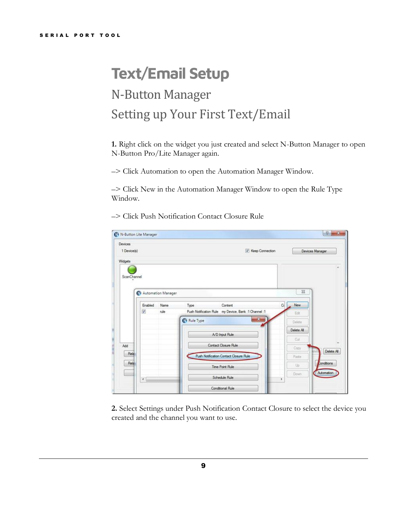# **Text/Email Setup** N-Button Manager Setting up Your First Text/Email

**1.** Right click on the widget you just created and select N-Button Manager to open N-Button Pro/Lite Manager again.

–> Click Automation to open the Automation Manager Window.

–> Click New in the Automation Manager Window to open the Rule Type Window.

–> Click Push Notification Contact Closure Rule

| <b>Devices</b><br>1 Device(s) |                    |      | V Keep Connection                                    |              | Devices Manager |
|-------------------------------|--------------------|------|------------------------------------------------------|--------------|-----------------|
|                               |                    |      |                                                      |              |                 |
| Widgets                       |                    |      |                                                      |              |                 |
| ScanChannel                   |                    |      |                                                      |              |                 |
|                               |                    |      |                                                      |              |                 |
|                               | Automation Manager |      |                                                      | $\Sigma$     |                 |
|                               |                    |      |                                                      |              |                 |
|                               | Enabled            | Name | Type<br>Content                                      | New<br>$C_0$ |                 |
|                               | $\mathcal{I}$      | nde  | Push Notification Rule my Device, Bank :1 Channel :1 | Edit         |                 |
|                               |                    |      | $\mathbf{z}$<br>Rule Type                            | Delote       |                 |
|                               |                    |      | A/D Input Rule                                       | Delete All   |                 |
|                               |                    |      |                                                      | Out          |                 |
| Add                           |                    |      | Contact Closure Rule                                 | Copy         | Delete All      |
| Rela                          |                    |      | Push Notification Contact Closure Rule               | Paste.       |                 |
|                               |                    |      | Time Point Rule                                      | Up           | Conditions      |
| Rela                          |                    |      |                                                      |              |                 |
|                               | $\leftarrow$       |      | Schedule Rule                                        | Down<br>٠    | Automation      |

**2.** Select Settings under Push Notification Contact Closure to select the device you created and the channel you want to use.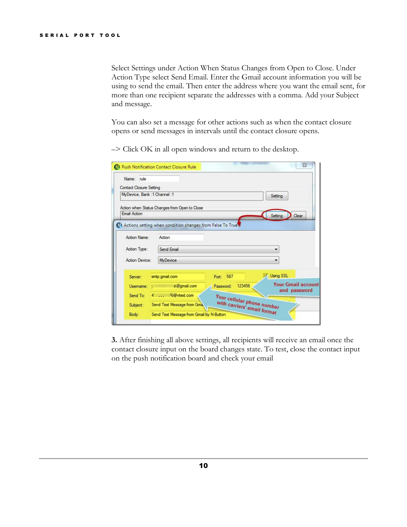Select Settings under Action When Status Changes from Open to Close. Under Action Type select Send Email. Enter the Gmail account information you will be using to send the email. Then enter the address where you want the email sent, for more than one recipient separate the addresses with a comma. Add your Subject and message.

You can also set a message for other actions such as when the contact closure opens or send messages in intervals until the contact closure opens.

–> Click OK in all open windows and return to the desktop.

| Name: nile                     |                                                              |                                                           |                                           |
|--------------------------------|--------------------------------------------------------------|-----------------------------------------------------------|-------------------------------------------|
| <b>Contact Closure Setting</b> |                                                              |                                                           |                                           |
| MyDevice, Bank: 1 Channel: 1   |                                                              |                                                           | Setting                                   |
|                                | Action when Status Changes from Open to Close                |                                                           |                                           |
| <b>Email Action</b>            |                                                              |                                                           | Setting<br>Clear                          |
|                                | No Actions setting when condition changes from False To True |                                                           |                                           |
|                                |                                                              |                                                           |                                           |
| Action Name:                   | Action                                                       |                                                           |                                           |
| Action Type:                   | Send Email                                                   |                                                           |                                           |
| Action Device:                 | <b>MyDevice</b>                                              |                                                           |                                           |
|                                |                                                              |                                                           | Using SSL                                 |
| Server:                        | smtp.gmail.com                                               | Port: 587                                                 |                                           |
| Usemame:                       | it@gmail.com                                                 | 123456<br>Password:                                       |                                           |
| Send To:                       | 476@vtext.com                                                |                                                           |                                           |
| Subject:                       | Send Text Message from Gma,                                  | Your cellular phone number<br>with carriers' email format | <b>Your Gmail account</b><br>and password |

**3.** After finishing all above settings, all recipients will receive an email once the contact closure input on the board changes state. To test, close the contact input on the push notification board and check your email